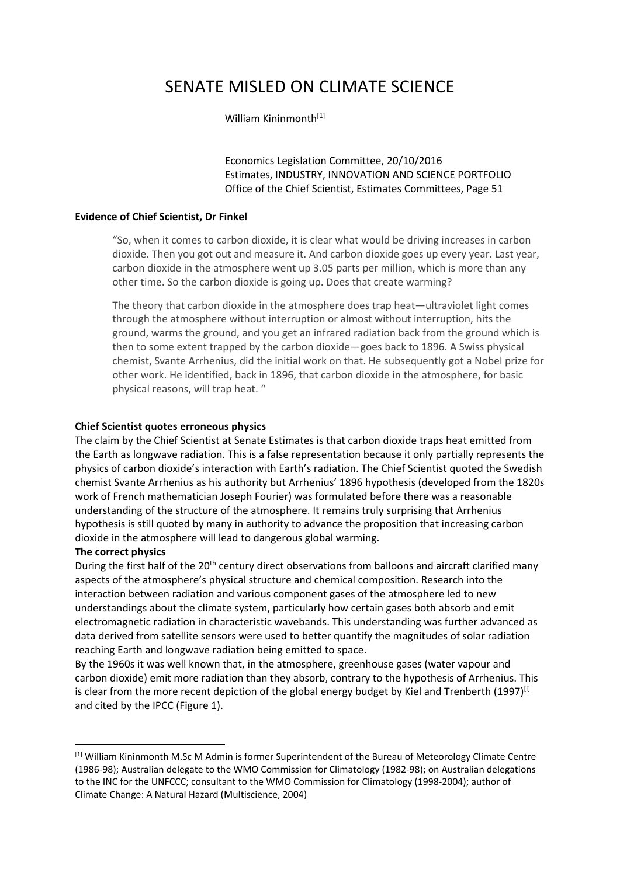# SENATE MISLED ON CLIMATE SCIENCE

#### William Kininmonth<sup>[1]</sup>

Economics Legislation Committee, 20/10/2016 Estimates, INDUSTRY, INNOVATION AND SCIENCE PORTFOLIO Office of the Chief Scientist, Estimates Committees, Page 51

#### **Evidence of Chief Scientist, Dr Finkel**

"So, when it comes to carbon dioxide, it is clear what would be driving increases in carbon dioxide. Then you got out and measure it. And carbon dioxide goes up every year. Last year, carbon dioxide in the atmosphere went up 3.05 parts per million, which is more than any other time. So the carbon dioxide is going up. Does that create warming?

The theory that carbon dioxide in the atmosphere does trap heat—ultraviolet light comes through the atmosphere without interruption or almost without interruption, hits the ground, warms the ground, and you get an infrared radiation back from the ground which is then to some extent trapped by the carbon dioxide—goes back to 1896. A Swiss physical chemist, Svante Arrhenius, did the initial work on that. He subsequently got a Nobel prize for other work. He identified, back in 1896, that carbon dioxide in the atmosphere, for basic physical reasons, will trap heat. "

#### **Chief Scientist quotes erroneous physics**

The claim by the Chief Scientist at Senate Estimates is that carbon dioxide traps heat emitted from the Earth as longwave radiation. This is a false representation because it only partially represents the physics of carbon dioxide's interaction with Earth's radiation. The Chief Scientist quoted the Swedish chemist Svante Arrhenius as his authority but Arrhenius' 1896 hypothesis (developed from the 1820s work of French mathematician Joseph Fourier) was formulated before there was a reasonable understanding of the structure of the atmosphere. It remains truly surprising that Arrhenius hypothesis is still quoted by many in authority to advance the proposition that increasing carbon dioxide in the atmosphere will lead to dangerous global warming.

#### **The correct physics**

**.** 

During the first half of the 20<sup>th</sup> century direct observations from balloons and aircraft clarified many aspects of the atmosphere's physical structure and chemical composition. Research into the interaction between radiation and various component gases of the atmosphere led to new understandings about the climate system, particularly how certain gases both absorb and emit electromagnetic radiation in characteristic wavebands. This understanding was further advanced as data derived from satellite sensors were used to better quantify the magnitudes of solar radiation reaching Earth and longwave radiation being emitted to space.

By the 1960s it was well known that, in the atmosphere, greenhouse gases (water vapour and carbon dioxide) emit more radiation than they absorb, contrary to the hypothesis of Arrhenius. This is clear from the more recent depiction of the global energy budget by Kiel and Trenberth  $(1997)^{[i]}$ and cited by the IPCC (Figure 1).

<sup>[1]</sup> William Kininmonth M.Sc M Admin is former Superintendent of the Bureau of Meteorology Climate Centre (1986-98); Australian delegate to the WMO Commission for Climatology (1982-98); on Australian delegations to the INC for the UNFCCC; consultant to the WMO Commission for Climatology (1998-2004); author of Climate Change: A Natural Hazard (Multiscience, 2004)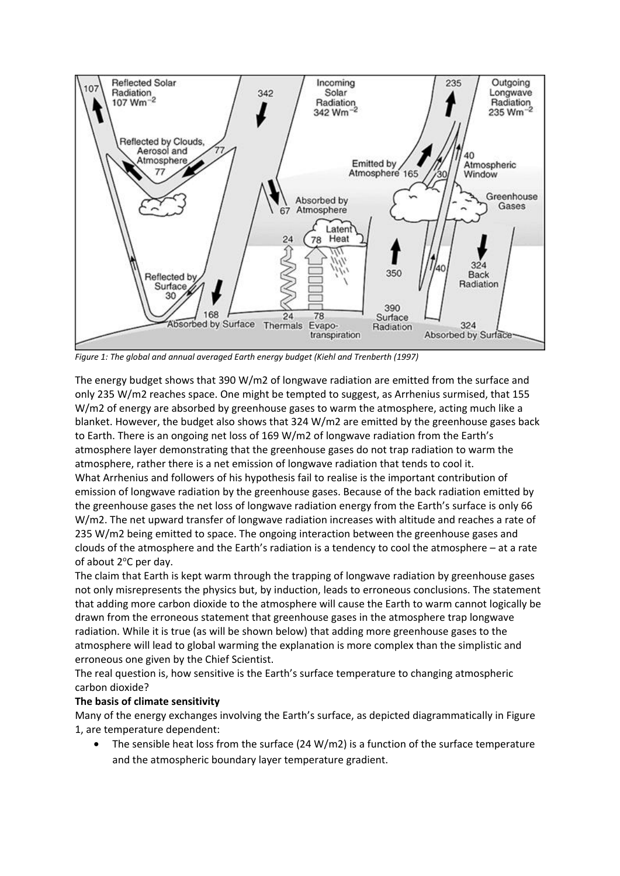

*Figure 1: The global and annual averaged Earth energy budget (Kiehl and Trenberth (1997)* 

The energy budget shows that 390 W/m2 of longwave radiation are emitted from the surface and only 235 W/m2 reaches space. One might be tempted to suggest, as Arrhenius surmised, that 155 W/m2 of energy are absorbed by greenhouse gases to warm the atmosphere, acting much like a blanket. However, the budget also shows that 324 W/m2 are emitted by the greenhouse gases back to Earth. There is an ongoing net loss of 169 W/m2 of longwave radiation from the Earth's atmosphere layer demonstrating that the greenhouse gases do not trap radiation to warm the atmosphere, rather there is a net emission of longwave radiation that tends to cool it. What Arrhenius and followers of his hypothesis fail to realise is the important contribution of emission of longwave radiation by the greenhouse gases. Because of the back radiation emitted by the greenhouse gases the net loss of longwave radiation energy from the Earth's surface is only 66 W/m2. The net upward transfer of longwave radiation increases with altitude and reaches a rate of 235 W/m2 being emitted to space. The ongoing interaction between the greenhouse gases and clouds of the atmosphere and the Earth's radiation is a tendency to cool the atmosphere – at a rate of about 2°C per day.

The claim that Earth is kept warm through the trapping of longwave radiation by greenhouse gases not only misrepresents the physics but, by induction, leads to erroneous conclusions. The statement that adding more carbon dioxide to the atmosphere will cause the Earth to warm cannot logically be drawn from the erroneous statement that greenhouse gases in the atmosphere trap longwave radiation. While it is true (as will be shown below) that adding more greenhouse gases to the atmosphere will lead to global warming the explanation is more complex than the simplistic and erroneous one given by the Chief Scientist.

The real question is, how sensitive is the Earth's surface temperature to changing atmospheric carbon dioxide?

## **The basis of climate sensitivity**

Many of the energy exchanges involving the Earth's surface, as depicted diagrammatically in Figure 1, are temperature dependent:

The sensible heat loss from the surface (24 W/m2) is a function of the surface temperature and the atmospheric boundary layer temperature gradient.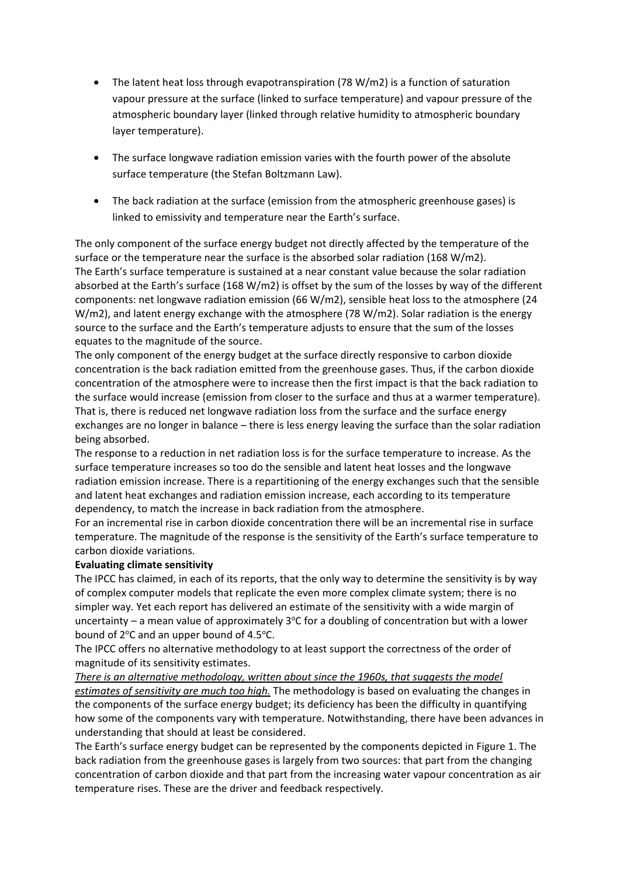- The latent heat loss through evapotranspiration (78 W/m2) is a function of saturation vapour pressure at the surface (linked to surface temperature) and vapour pressure of the atmospheric boundary layer (linked through relative humidity to atmospheric boundary layer temperature).
- The surface longwave radiation emission varies with the fourth power of the absolute surface temperature (the Stefan Boltzmann Law).
- The back radiation at the surface (emission from the atmospheric greenhouse gases) is linked to emissivity and temperature near the Earth's surface.

The only component of the surface energy budget not directly affected by the temperature of the surface or the temperature near the surface is the absorbed solar radiation (168 W/m2). The Earth's surface temperature is sustained at a near constant value because the solar radiation absorbed at the Earth's surface (168 W/m2) is offset by the sum of the losses by way of the different components: net longwave radiation emission (66 W/m2), sensible heat loss to the atmosphere (24 W/m2), and latent energy exchange with the atmosphere (78 W/m2). Solar radiation is the energy source to the surface and the Earth's temperature adjusts to ensure that the sum of the losses equates to the magnitude of the source.

The only component of the energy budget at the surface directly responsive to carbon dioxide concentration is the back radiation emitted from the greenhouse gases. Thus, if the carbon dioxide concentration of the atmosphere were to increase then the first impact is that the back radiation to the surface would increase (emission from closer to the surface and thus at a warmer temperature). That is, there is reduced net longwave radiation loss from the surface and the surface energy exchanges are no longer in balance – there is less energy leaving the surface than the solar radiation being absorbed.

The response to a reduction in net radiation loss is for the surface temperature to increase. As the surface temperature increases so too do the sensible and latent heat losses and the longwave radiation emission increase. There is a repartitioning of the energy exchanges such that the sensible and latent heat exchanges and radiation emission increase, each according to its temperature dependency, to match the increase in back radiation from the atmosphere.

For an incremental rise in carbon dioxide concentration there will be an incremental rise in surface temperature. The magnitude of the response is the sensitivity of the Earth's surface temperature to carbon dioxide variations.

#### **Evaluating climate sensitivity**

The IPCC has claimed, in each of its reports, that the only way to determine the sensitivity is by way of complex computer models that replicate the even more complex climate system; there is no simpler way. Yet each report has delivered an estimate of the sensitivity with a wide margin of uncertainty  $-$  a mean value of approximately 3°C for a doubling of concentration but with a lower bound of  $2^{\circ}$ C and an upper bound of 4.5 $^{\circ}$ C.

The IPCC offers no alternative methodology to at least support the correctness of the order of magnitude of its sensitivity estimates.

*There is an alternative methodology, written about since the 1960s, that suggests the model estimates of sensitivity are much too high.* The methodology is based on evaluating the changes in the components of the surface energy budget; its deficiency has been the difficulty in quantifying how some of the components vary with temperature. Notwithstanding, there have been advances in understanding that should at least be considered.

The Earth's surface energy budget can be represented by the components depicted in Figure 1. The back radiation from the greenhouse gases is largely from two sources: that part from the changing concentration of carbon dioxide and that part from the increasing water vapour concentration as air temperature rises. These are the driver and feedback respectively.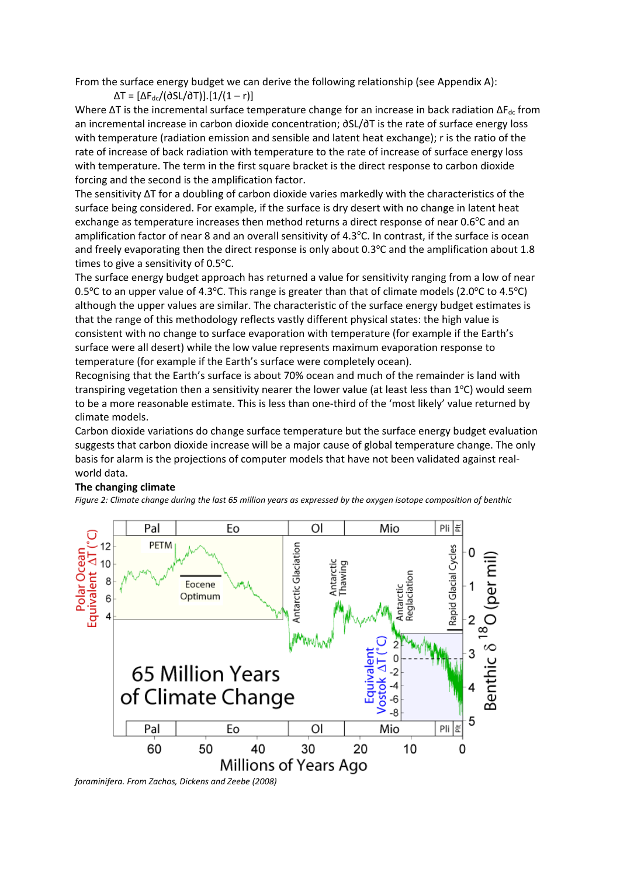From the surface energy budget we can derive the following relationship (see Appendix A):

 $ΔT = [ΔF<sub>dc</sub>/(∂SL/∂T)].[1/(1 – r)]$ 

Where  $\Delta T$  is the incremental surface temperature change for an increase in back radiation  $\Delta F_{dc}$  from an incremental increase in carbon dioxide concentration; ∂SL/∂T is the rate of surface energy loss with temperature (radiation emission and sensible and latent heat exchange); r is the ratio of the rate of increase of back radiation with temperature to the rate of increase of surface energy loss with temperature. The term in the first square bracket is the direct response to carbon dioxide forcing and the second is the amplification factor.

The sensitivity ΔT for a doubling of carbon dioxide varies markedly with the characteristics of the surface being considered. For example, if the surface is dry desert with no change in latent heat exchange as temperature increases then method returns a direct response of near 0.6°C and an amplification factor of near 8 and an overall sensitivity of 4.3°C. In contrast, if the surface is ocean and freely evaporating then the direct response is only about  $0.3^{\circ}$ C and the amplification about 1.8 times to give a sensitivity of 0.5°C.

The surface energy budget approach has returned a value for sensitivity ranging from a low of near 0.5°C to an upper value of 4.3°C. This range is greater than that of climate models (2.0°C to 4.5°C) although the upper values are similar. The characteristic of the surface energy budget estimates is that the range of this methodology reflects vastly different physical states: the high value is consistent with no change to surface evaporation with temperature (for example if the Earth's surface were all desert) while the low value represents maximum evaporation response to temperature (for example if the Earth's surface were completely ocean).

Recognising that the Earth's surface is about 70% ocean and much of the remainder is land with transpiring vegetation then a sensitivity nearer the lower value (at least less than 1°C) would seem to be a more reasonable estimate. This is less than one-third of the 'most likely' value returned by climate models.

Carbon dioxide variations do change surface temperature but the surface energy budget evaluation suggests that carbon dioxide increase will be a major cause of global temperature change. The only basis for alarm is the projections of computer models that have not been validated against realworld data.

#### **The changing climate**

*Figure 2: Climate change during the last 65 million years as expressed by the oxygen isotope composition of benthic* 



*foraminifera. From Zachos, Dickens and Zeebe (2008)*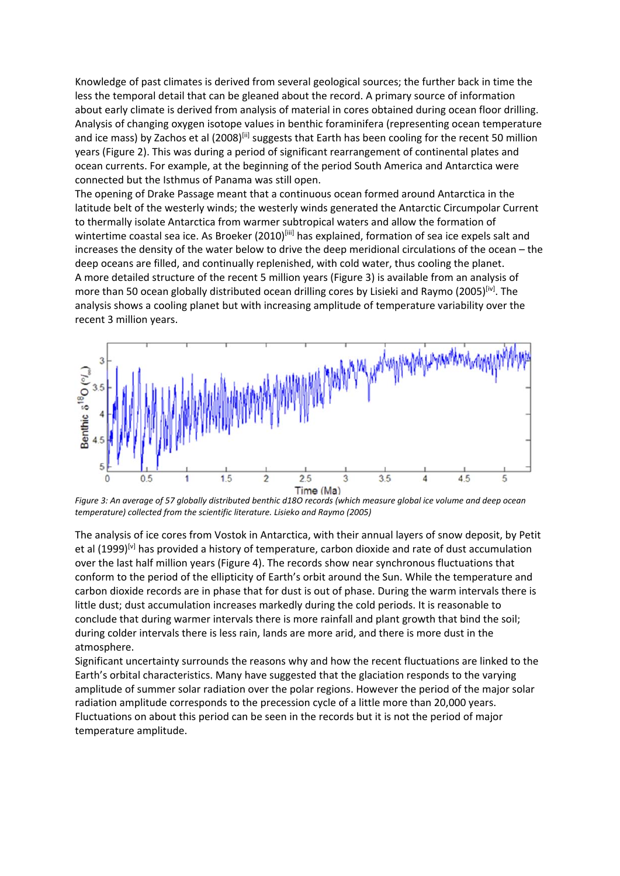Knowledge of past climates is derived from several geological sources; the further back in time the less the temporal detail that can be gleaned about the record. A primary source of information about early climate is derived from analysis of material in cores obtained during ocean floor drilling. Analysis of changing oxygen isotope values in benthic foraminifera (representing ocean temperature and ice mass) by Zachos et al (2008)<sup>[ii]</sup> suggests that Earth has been cooling for the recent 50 million years (Figure 2). This was during a period of significant rearrangement of continental plates and ocean currents. For example, at the beginning of the period South America and Antarctica were connected but the Isthmus of Panama was still open.

The opening of Drake Passage meant that a continuous ocean formed around Antarctica in the latitude belt of the westerly winds; the westerly winds generated the Antarctic Circumpolar Current to thermally isolate Antarctica from warmer subtropical waters and allow the formation of wintertime coastal sea ice. As Broeker (2010)<sup>[iii]</sup> has explained, formation of sea ice expels salt and increases the density of the water below to drive the deep meridional circulations of the ocean – the deep oceans are filled, and continually replenished, with cold water, thus cooling the planet. A more detailed structure of the recent 5 million years (Figure 3) is available from an analysis of more than 50 ocean globally distributed ocean drilling cores by Lisieki and Raymo (2005)<sup>[iv]</sup>. The analysis shows a cooling planet but with increasing amplitude of temperature variability over the recent 3 million years.



*Figure 3: An average of 57 globally distributed benthic d18O records (which measure global ice volume and deep ocean temperature) collected from the scientific literature. Lisieko and Raymo (2005)* 

The analysis of ice cores from Vostok in Antarctica, with their annual layers of snow deposit, by Petit et al (1999)<sup>[v]</sup> has provided a history of temperature, carbon dioxide and rate of dust accumulation over the last half million years (Figure 4). The records show near synchronous fluctuations that conform to the period of the ellipticity of Earth's orbit around the Sun. While the temperature and carbon dioxide records are in phase that for dust is out of phase. During the warm intervals there is little dust; dust accumulation increases markedly during the cold periods. It is reasonable to conclude that during warmer intervals there is more rainfall and plant growth that bind the soil; during colder intervals there is less rain, lands are more arid, and there is more dust in the atmosphere.

Significant uncertainty surrounds the reasons why and how the recent fluctuations are linked to the Earth's orbital characteristics. Many have suggested that the glaciation responds to the varying amplitude of summer solar radiation over the polar regions. However the period of the major solar radiation amplitude corresponds to the precession cycle of a little more than 20,000 years. Fluctuations on about this period can be seen in the records but it is not the period of major temperature amplitude.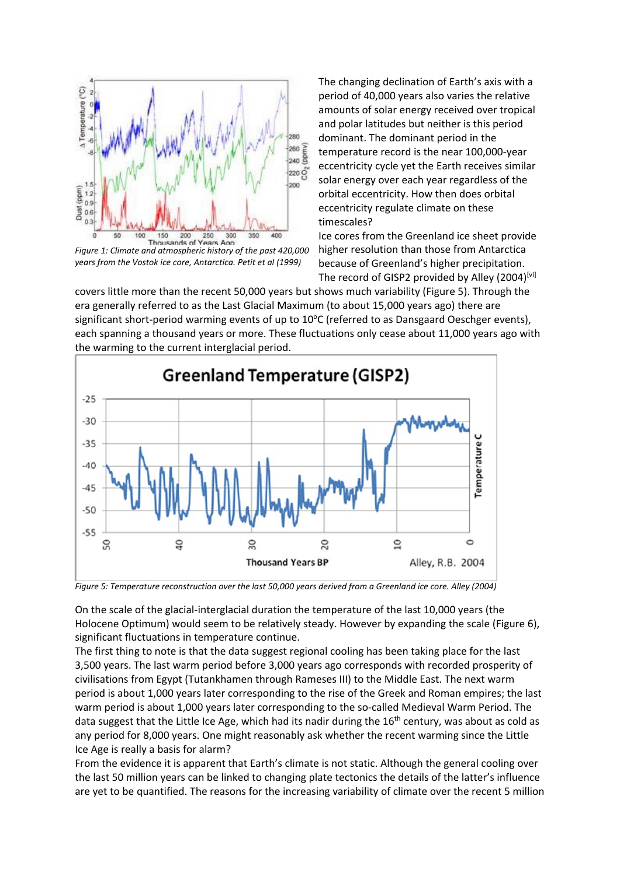

*Figure 1: Climate and atmospheric history of the past 420,000 years from the Vostok ice core, Antarctica. Petit et al (1999)*

The changing declination of Earth's axis with a period of 40,000 years also varies the relative amounts of solar energy received over tropical and polar latitudes but neither is this period dominant. The dominant period in the temperature record is the near 100,000-year eccentricity cycle yet the Earth receives similar solar energy over each year regardless of the orbital eccentricity. How then does orbital eccentricity regulate climate on these timescales?

Ice cores from the Greenland ice sheet provide higher resolution than those from Antarctica because of Greenland's higher precipitation. The record of GISP2 provided by Alley (2004)[vi]

covers little more than the recent 50,000 years but shows much variability (Figure 5). Through the era generally referred to as the Last Glacial Maximum (to about 15,000 years ago) there are significant short-period warming events of up to 10°C (referred to as Dansgaard Oeschger events), each spanning a thousand years or more. These fluctuations only cease about 11,000 years ago with the warming to the current interglacial period.



*Figure 5: Temperature reconstruction over the last 50,000 years derived from a Greenland ice core. Alley (2004)* 

On the scale of the glacial-interglacial duration the temperature of the last 10,000 years (the Holocene Optimum) would seem to be relatively steady. However by expanding the scale (Figure 6), significant fluctuations in temperature continue.

The first thing to note is that the data suggest regional cooling has been taking place for the last 3,500 years. The last warm period before 3,000 years ago corresponds with recorded prosperity of civilisations from Egypt (Tutankhamen through Rameses III) to the Middle East. The next warm period is about 1,000 years later corresponding to the rise of the Greek and Roman empires; the last warm period is about 1,000 years later corresponding to the so-called Medieval Warm Period. The data suggest that the Little Ice Age, which had its nadir during the 16<sup>th</sup> century, was about as cold as any period for 8,000 years. One might reasonably ask whether the recent warming since the Little Ice Age is really a basis for alarm?

From the evidence it is apparent that Earth's climate is not static. Although the general cooling over the last 50 million years can be linked to changing plate tectonics the details of the latter's influence are yet to be quantified. The reasons for the increasing variability of climate over the recent 5 million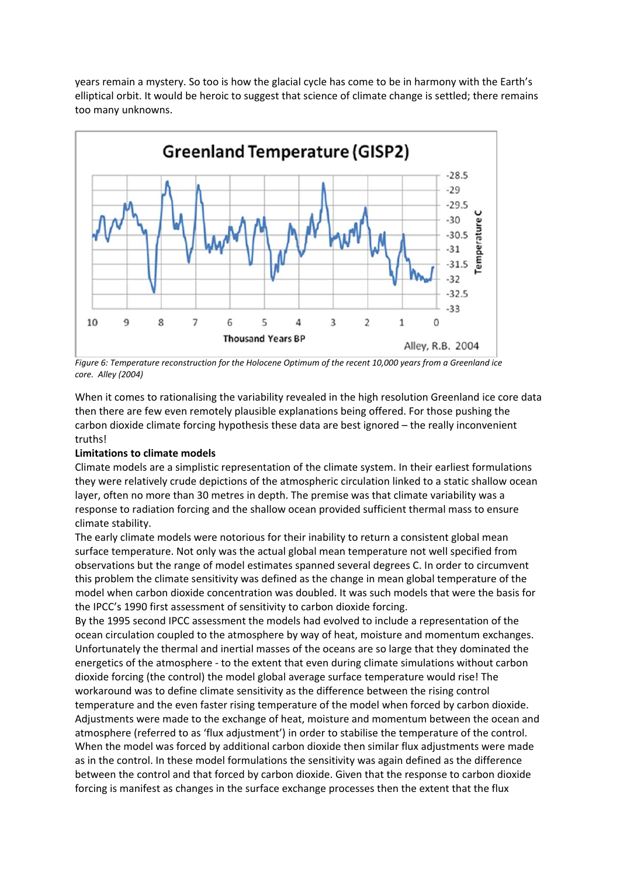years remain a mystery. So too is how the glacial cycle has come to be in harmony with the Earth's elliptical orbit. It would be heroic to suggest that science of climate change is settled; there remains too many unknowns.



*Figure 6: Temperature reconstruction for the Holocene Optimum of the recent 10,000 years from a Greenland ice core. Alley (2004)* 

When it comes to rationalising the variability revealed in the high resolution Greenland ice core data then there are few even remotely plausible explanations being offered. For those pushing the carbon dioxide climate forcing hypothesis these data are best ignored – the really inconvenient truths!

## **Limitations to climate models**

Climate models are a simplistic representation of the climate system. In their earliest formulations they were relatively crude depictions of the atmospheric circulation linked to a static shallow ocean layer, often no more than 30 metres in depth. The premise was that climate variability was a response to radiation forcing and the shallow ocean provided sufficient thermal mass to ensure climate stability.

The early climate models were notorious for their inability to return a consistent global mean surface temperature. Not only was the actual global mean temperature not well specified from observations but the range of model estimates spanned several degrees C. In order to circumvent this problem the climate sensitivity was defined as the change in mean global temperature of the model when carbon dioxide concentration was doubled. It was such models that were the basis for the IPCC's 1990 first assessment of sensitivity to carbon dioxide forcing.

By the 1995 second IPCC assessment the models had evolved to include a representation of the ocean circulation coupled to the atmosphere by way of heat, moisture and momentum exchanges. Unfortunately the thermal and inertial masses of the oceans are so large that they dominated the energetics of the atmosphere - to the extent that even during climate simulations without carbon dioxide forcing (the control) the model global average surface temperature would rise! The workaround was to define climate sensitivity as the difference between the rising control temperature and the even faster rising temperature of the model when forced by carbon dioxide. Adjustments were made to the exchange of heat, moisture and momentum between the ocean and atmosphere (referred to as 'flux adjustment') in order to stabilise the temperature of the control. When the model was forced by additional carbon dioxide then similar flux adjustments were made as in the control. In these model formulations the sensitivity was again defined as the difference between the control and that forced by carbon dioxide. Given that the response to carbon dioxide forcing is manifest as changes in the surface exchange processes then the extent that the flux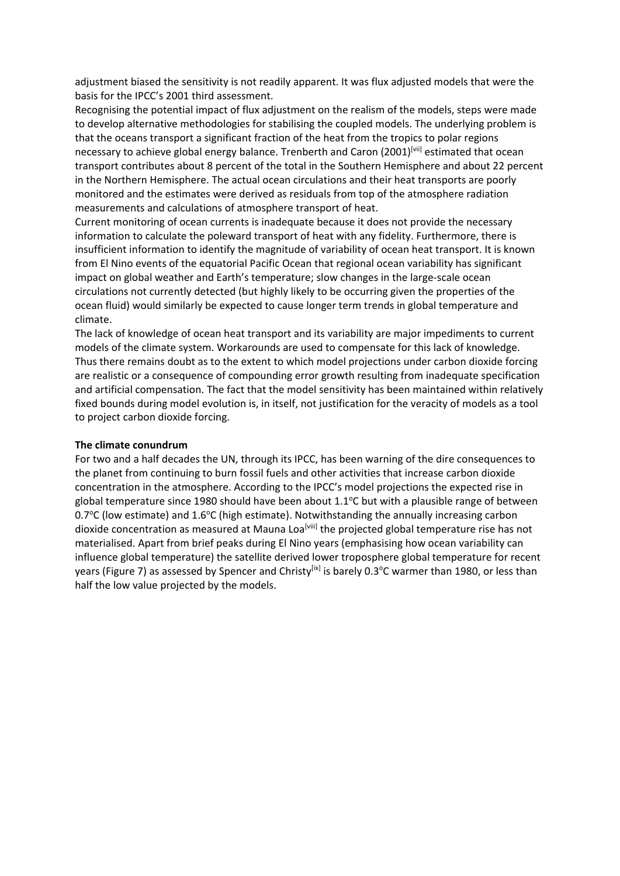adjustment biased the sensitivity is not readily apparent. It was flux adjusted models that were the basis for the IPCC's 2001 third assessment.

Recognising the potential impact of flux adjustment on the realism of the models, steps were made to develop alternative methodologies for stabilising the coupled models. The underlying problem is that the oceans transport a significant fraction of the heat from the tropics to polar regions necessary to achieve global energy balance. Trenberth and Caron (2001)<sup>[vii]</sup> estimated that ocean transport contributes about 8 percent of the total in the Southern Hemisphere and about 22 percent in the Northern Hemisphere. The actual ocean circulations and their heat transports are poorly monitored and the estimates were derived as residuals from top of the atmosphere radiation measurements and calculations of atmosphere transport of heat.

Current monitoring of ocean currents is inadequate because it does not provide the necessary information to calculate the poleward transport of heat with any fidelity. Furthermore, there is insufficient information to identify the magnitude of variability of ocean heat transport. It is known from El Nino events of the equatorial Pacific Ocean that regional ocean variability has significant impact on global weather and Earth's temperature; slow changes in the large-scale ocean circulations not currently detected (but highly likely to be occurring given the properties of the ocean fluid) would similarly be expected to cause longer term trends in global temperature and climate.

The lack of knowledge of ocean heat transport and its variability are major impediments to current models of the climate system. Workarounds are used to compensate for this lack of knowledge. Thus there remains doubt as to the extent to which model projections under carbon dioxide forcing are realistic or a consequence of compounding error growth resulting from inadequate specification and artificial compensation. The fact that the model sensitivity has been maintained within relatively fixed bounds during model evolution is, in itself, not justification for the veracity of models as a tool to project carbon dioxide forcing.

#### **The climate conundrum**

For two and a half decades the UN, through its IPCC, has been warning of the dire consequences to the planet from continuing to burn fossil fuels and other activities that increase carbon dioxide concentration in the atmosphere. According to the IPCC's model projections the expected rise in global temperature since 1980 should have been about 1.1°C but with a plausible range of between 0.7°C (low estimate) and 1.6°C (high estimate). Notwithstanding the annually increasing carbon dioxide concentration as measured at Mauna Loa<sup>[viii]</sup> the projected global temperature rise has not materialised. Apart from brief peaks during El Nino years (emphasising how ocean variability can influence global temperature) the satellite derived lower troposphere global temperature for recent years (Figure 7) as assessed by Spencer and Christy<sup>[ix]</sup> is barely 0.3°C warmer than 1980, or less than half the low value projected by the models.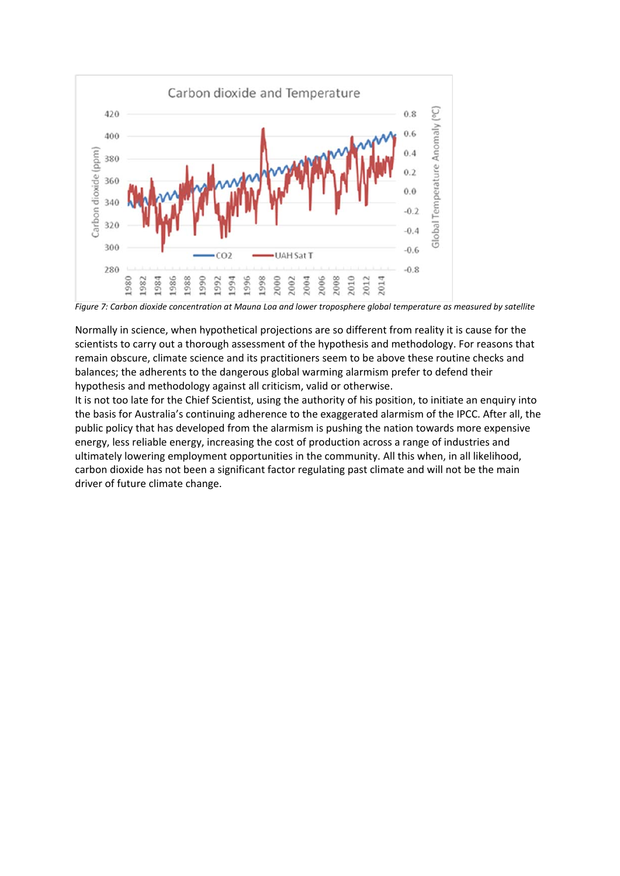

*Figure 7: Carbon dioxide concentration at Mauna Loa and lower troposphere global temperature as measured by satellite* 

Normally in science, when hypothetical projections are so different from reality it is cause for the scientists to carry out a thorough assessment of the hypothesis and methodology. For reasons that remain obscure, climate science and its practitioners seem to be above these routine checks and balances; the adherents to the dangerous global warming alarmism prefer to defend their hypothesis and methodology against all criticism, valid or otherwise.

It is not too late for the Chief Scientist, using the authority of his position, to initiate an enquiry into the basis for Australia's continuing adherence to the exaggerated alarmism of the IPCC. After all, the public policy that has developed from the alarmism is pushing the nation towards more expensive energy, less reliable energy, increasing the cost of production across a range of industries and ultimately lowering employment opportunities in the community. All this when, in all likelihood, carbon dioxide has not been a significant factor regulating past climate and will not be the main driver of future climate change.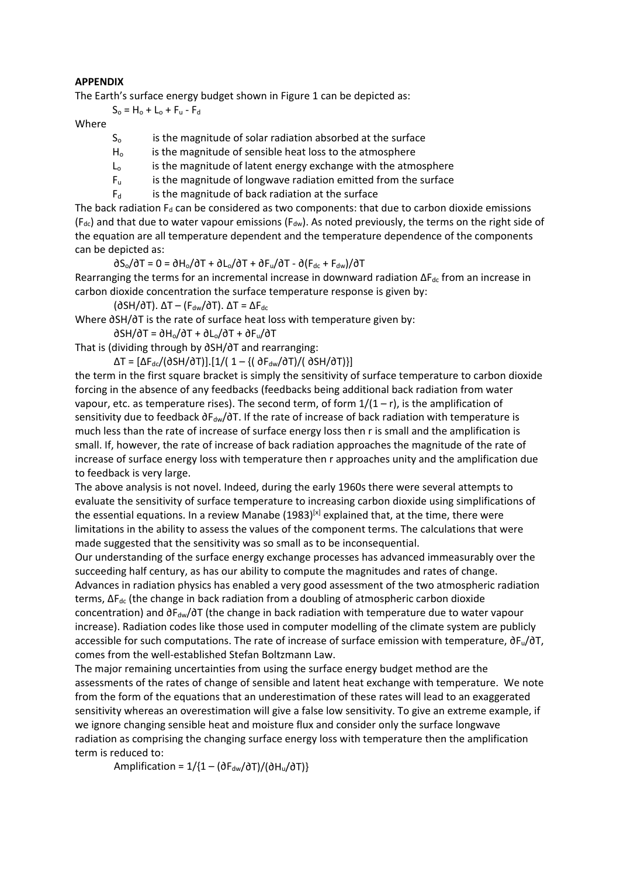#### **APPENDIX**

The Earth's surface energy budget shown in Figure 1 can be depicted as:

 $S_0 = H_0 + L_0 + F_0 - F_d$ 

Where

- S<sub>o</sub> is the magnitude of solar radiation absorbed at the surface
- $H<sub>o</sub>$  is the magnitude of sensible heat loss to the atmosphere
- $L_0$  is the magnitude of latent energy exchange with the atmosphere
- $F<sub>u</sub>$  is the magnitude of longwave radiation emitted from the surface
- $F<sub>d</sub>$  is the magnitude of back radiation at the surface

The back radiation  $F_d$  can be considered as two components: that due to carbon dioxide emissions (F<sub>dc</sub>) and that due to water vapour emissions (F<sub>dw</sub>). As noted previously, the terms on the right side of the equation are all temperature dependent and the temperature dependence of the components can be depicted as:

 $\partial S_{\rm o}/\partial T = 0 = \partial H_{\rm o}/\partial T + \partial L_{\rm o}/\partial T + \partial F_{\rm u}/\partial T - \partial (F_{\rm dc} + F_{\rm dw})/\partial T$ 

Rearranging the terms for an incremental increase in downward radiation  $\Delta F_{dc}$  from an increase in carbon dioxide concentration the surface temperature response is given by:

( $\partial$ SH/ $\partial$ T).  $\Delta$ T – (F<sub>dw</sub>/ $\partial$ T).  $\Delta$ T =  $\Delta$ F<sub>dc</sub>

Where ∂SH/∂T is the rate of surface heat loss with temperature given by:

∂SH/∂T = ∂Ho/∂T + ∂Lo/∂T + ∂Fu/∂T

That is (dividing through by ∂SH/∂T and rearranging:

 $\Delta T = [\Delta F_{dc}/(\partial SH/\partial T)].$ [1/( 1 – {(  $\partial F_{dw}/\partial T)/(\partial SH/\partial T)$ }]

the term in the first square bracket is simply the sensitivity of surface temperature to carbon dioxide forcing in the absence of any feedbacks (feedbacks being additional back radiation from water vapour, etc. as temperature rises). The second term, of form  $1/(1 - r)$ , is the amplification of sensitivity due to feedback ∂F<sub>dw</sub>/∂T. If the rate of increase of back radiation with temperature is much less than the rate of increase of surface energy loss then r is small and the amplification is small. If, however, the rate of increase of back radiation approaches the magnitude of the rate of increase of surface energy loss with temperature then r approaches unity and the amplification due to feedback is very large.

The above analysis is not novel. Indeed, during the early 1960s there were several attempts to evaluate the sensitivity of surface temperature to increasing carbon dioxide using simplifications of the essential equations. In a review Manabe  $(1983)^{[x]}$  explained that, at the time, there were limitations in the ability to assess the values of the component terms. The calculations that were made suggested that the sensitivity was so small as to be inconsequential.

Our understanding of the surface energy exchange processes has advanced immeasurably over the succeeding half century, as has our ability to compute the magnitudes and rates of change.

Advances in radiation physics has enabled a very good assessment of the two atmospheric radiation terms,  $ΔF<sub>dc</sub>$  (the change in back radiation from a doubling of atmospheric carbon dioxide concentration) and ∂F<sub>dw</sub>/∂T (the change in back radiation with temperature due to water vapour increase). Radiation codes like those used in computer modelling of the climate system are publicly accessible for such computations. The rate of increase of surface emission with temperature, ∂Fu/∂T, comes from the well-established Stefan Boltzmann Law.

The major remaining uncertainties from using the surface energy budget method are the assessments of the rates of change of sensible and latent heat exchange with temperature. We note from the form of the equations that an underestimation of these rates will lead to an exaggerated sensitivity whereas an overestimation will give a false low sensitivity. To give an extreme example, if we ignore changing sensible heat and moisture flux and consider only the surface longwave radiation as comprising the changing surface energy loss with temperature then the amplification term is reduced to:

Amplification =  $1/(1 - (\partial F_{dw}/\partial T)/( \partial H_u/\partial T))$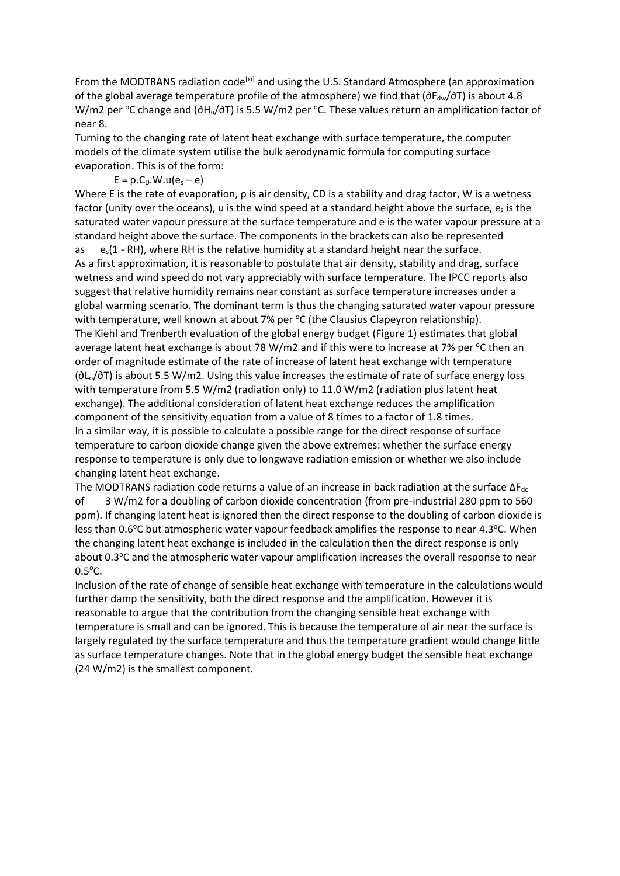From the MODTRANS radiation code<sup>[xi]</sup> and using the U.S. Standard Atmosphere (an approximation of the global average temperature profile of the atmosphere) we find that (∂F<sub>dw</sub>/∂T) is about 4.8 W/m2 per °C change and (∂H<sub>u</sub>/∂T) is 5.5 W/m2 per °C. These values return an amplification factor of near 8.

Turning to the changing rate of latent heat exchange with surface temperature, the computer models of the climate system utilise the bulk aerodynamic formula for computing surface evaporation. This is of the form:

 $E = \rho.C_p.W.u(e_s - e)$ 

Where E is the rate of evaporation, ρ is air density, CD is a stability and drag factor, W is a wetness factor (unity over the oceans), u is the wind speed at a standard height above the surface,  $e_s$  is the saturated water vapour pressure at the surface temperature and e is the water vapour pressure at a standard height above the surface. The components in the brackets can also be represented as  $e_s(1 - RH)$ , where RH is the relative humidity at a standard height near the surface. As a first approximation, it is reasonable to postulate that air density, stability and drag, surface wetness and wind speed do not vary appreciably with surface temperature. The IPCC reports also suggest that relative humidity remains near constant as surface temperature increases under a global warming scenario. The dominant term is thus the changing saturated water vapour pressure with temperature, well known at about 7% per °C (the Clausius Clapeyron relationship). The Kiehl and Trenberth evaluation of the global energy budget (Figure 1) estimates that global average latent heat exchange is about 78 W/m2 and if this were to increase at 7% per  $\mathrm{^{\circ}C}$  then an order of magnitude estimate of the rate of increase of latent heat exchange with temperature (∂Lo/∂T) is about 5.5 W/m2. Using this value increases the estimate of rate of surface energy loss with temperature from 5.5 W/m2 (radiation only) to 11.0 W/m2 (radiation plus latent heat exchange). The additional consideration of latent heat exchange reduces the amplification component of the sensitivity equation from a value of 8 times to a factor of 1.8 times. In a similar way, it is possible to calculate a possible range for the direct response of surface temperature to carbon dioxide change given the above extremes: whether the surface energy response to temperature is only due to longwave radiation emission or whether we also include changing latent heat exchange.

The MODTRANS radiation code returns a value of an increase in back radiation at the surface  $\Delta F_{dc}$ of 3 W/m2 for a doubling of carbon dioxide concentration (from pre-industrial 280 ppm to 560 ppm). If changing latent heat is ignored then the direct response to the doubling of carbon dioxide is less than 0.6°C but atmospheric water vapour feedback amplifies the response to near 4.3°C. When the changing latent heat exchange is included in the calculation then the direct response is only about 0.3°C and the atmospheric water vapour amplification increases the overall response to near  $0.5^{\circ}$ C.

Inclusion of the rate of change of sensible heat exchange with temperature in the calculations would further damp the sensitivity, both the direct response and the amplification. However it is reasonable to argue that the contribution from the changing sensible heat exchange with temperature is small and can be ignored. This is because the temperature of air near the surface is largely regulated by the surface temperature and thus the temperature gradient would change little as surface temperature changes. Note that in the global energy budget the sensible heat exchange (24 W/m2) is the smallest component.